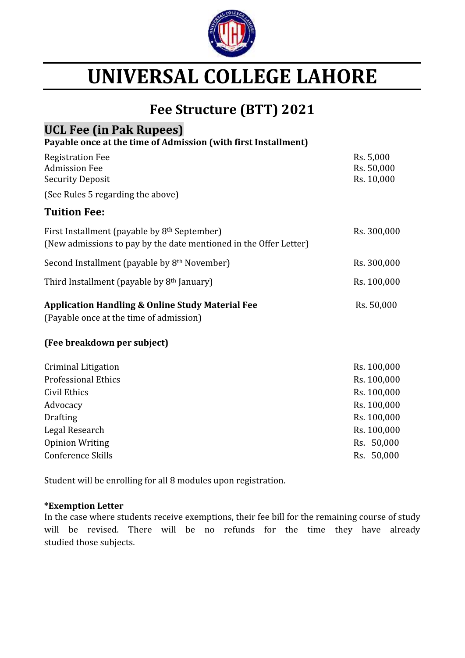

## **UNIVERSAL COLLEGE LAHORE**

## **Fee Structure (BTT) 2021**

### **UCL Fee (in Pak Rupees)**

**Payable once at the time of Admission (with first Installment)**

| <b>Registration Fee</b><br><b>Admission Fee</b><br><b>Security Deposit</b>                                                    | Rs. 5,000<br>Rs. 50,000<br>Rs. 10,000 |
|-------------------------------------------------------------------------------------------------------------------------------|---------------------------------------|
| (See Rules 5 regarding the above)                                                                                             |                                       |
| <b>Tuition Fee:</b>                                                                                                           |                                       |
| First Installment (payable by 8 <sup>th</sup> September)<br>(New admissions to pay by the date mentioned in the Offer Letter) | Rs. 300,000                           |
| Second Installment (payable by 8 <sup>th</sup> November)                                                                      | Rs. 300,000                           |
| Third Installment (payable by 8th January)                                                                                    | Rs. 100,000                           |
| <b>Application Handling &amp; Online Study Material Fee</b><br>(Payable once at the time of admission)                        | Rs. 50,000                            |
| (Fee breakdown per subject)                                                                                                   |                                       |
| <b>Criminal Litigation</b><br><b>Professional Ethics</b>                                                                      | Rs. 100,000<br>Rs. 100,000            |
| Civil Ethics                                                                                                                  | Rs. 100,000                           |
| Advocacy                                                                                                                      | Rs. 100,000                           |
| <b>Drafting</b>                                                                                                               | Rs. 100,000                           |
| Legal Research                                                                                                                | Rs. 100,000                           |
| <b>Opinion Writing</b>                                                                                                        | Rs. 50,000                            |

Student will be enrolling for all 8 modules upon registration.

#### **\*Exemption Letter**

In the case where students receive exemptions, their fee bill for the remaining course of study will be revised. There will be no refunds for the time they have already studied those subjects.

Conference Skills Rs. 50,000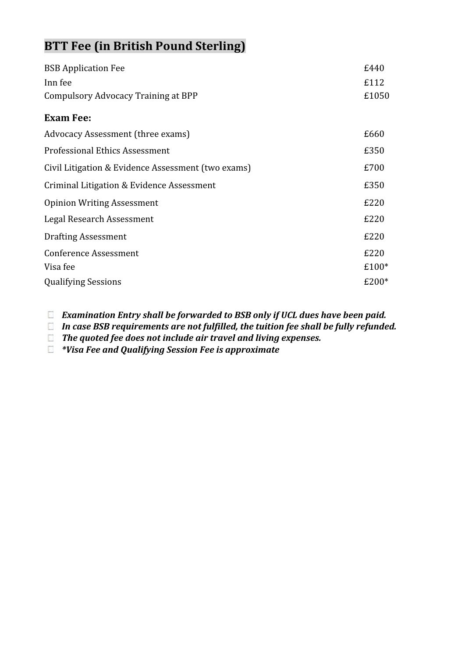## **BTT Fee (in British Pound Sterling)**

| £112<br>£1050<br>Compulsory Advocacy Training at BPP<br>£660<br>£350<br>£700<br>£350<br>£220<br>£220<br>£220<br>£220<br>£100*<br>$£200*$ | <b>BSB Application Fee</b>                         | £440 |
|------------------------------------------------------------------------------------------------------------------------------------------|----------------------------------------------------|------|
|                                                                                                                                          | Inn fee                                            |      |
|                                                                                                                                          |                                                    |      |
|                                                                                                                                          | <b>Exam Fee:</b>                                   |      |
|                                                                                                                                          | Advocacy Assessment (three exams)                  |      |
|                                                                                                                                          | <b>Professional Ethics Assessment</b>              |      |
|                                                                                                                                          | Civil Litigation & Evidence Assessment (two exams) |      |
|                                                                                                                                          | Criminal Litigation & Evidence Assessment          |      |
|                                                                                                                                          | <b>Opinion Writing Assessment</b>                  |      |
|                                                                                                                                          | Legal Research Assessment                          |      |
|                                                                                                                                          | <b>Drafting Assessment</b>                         |      |
|                                                                                                                                          | <b>Conference Assessment</b>                       |      |
|                                                                                                                                          | Visa fee                                           |      |
|                                                                                                                                          | <b>Qualifying Sessions</b>                         |      |

*Examination Entry shall be forwarded to BSB only if UCL dues have been paid.*

*In case BSB requirements are not fulfilled, the tuition fee shall be fully refunded.*

*The quoted fee does not include air travel and living expenses.*

*\*Visa Fee and Qualifying Session Fee is approximate*